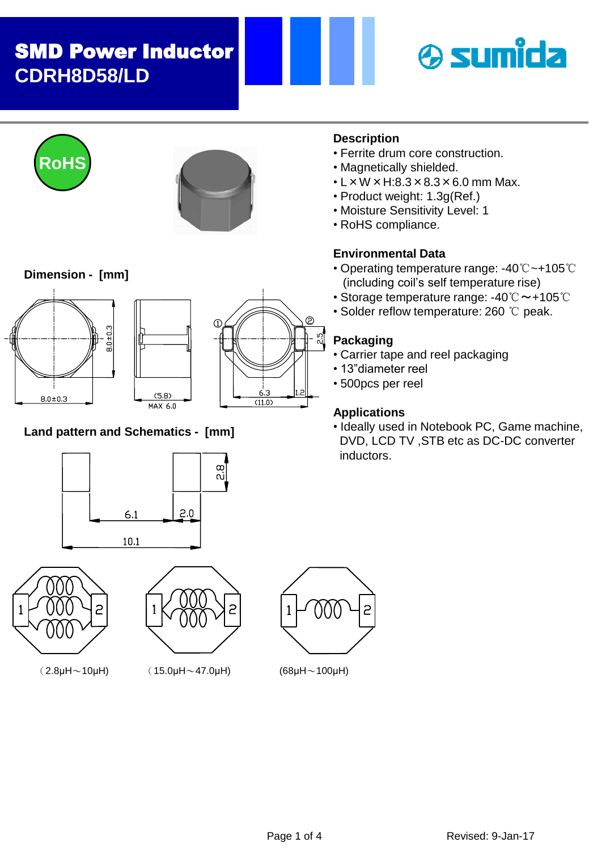# SMD Power Inductor **CDRH8D58/LD**







#### **Dimension - [mm]**







## **Land pattern and Schematics - [mm]**





2

 $(2.8\mu$ H $\sim$ 10 $\mu$ H) (15.0 $\mu$ H $\sim$ 47.0 $\mu$ H) (68 $\mu$ H $\sim$ 100 $\mu$ H)



## **Description**

- Ferrite drum core construction.
- Magnetically shielded.
- $\cdot$  L  $\times$  W  $\times$  H:8.3  $\times$  8.3  $\times$  6.0 mm Max.
- Product weight: 1.3g(Ref.)
- Moisture Sensitivity Level: 1
- RoHS compliance.

#### **Environmental Data**

- Operating temperature range: -40℃~+105℃ (including coil's self temperature rise)
- Storage temperature range: -40℃~+105℃
- Solder reflow temperature: 260 ℃ peak.

#### **Packaging**

- Carrier tape and reel packaging
- 13"diameter reel
- 500pcs per reel

## **Applications**

• Ideally used in Notebook PC, Game machine, DVD, LCD TV ,STB etc as DC-DC converter inductors.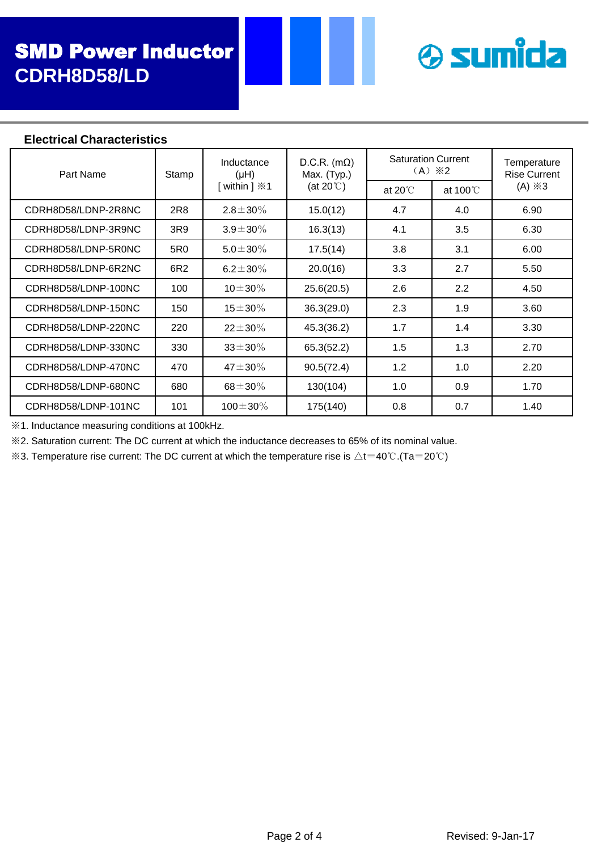

#### **Electrical Characteristics**

| Part Name           | Stamp           | Inductance<br>(Hu)<br>[ within $] \times 1$ | $D.C.R.$ (m $\Omega$ )<br>Max. (Typ.)<br>(at 20 $\degree$ C) | <b>Saturation Current</b><br>$(A) \times 2$ |                    | Temperature<br><b>Rise Current</b> |
|---------------------|-----------------|---------------------------------------------|--------------------------------------------------------------|---------------------------------------------|--------------------|------------------------------------|
|                     |                 |                                             |                                                              | at $20^{\circ}$                             | at $100^{\circ}$ C | $(A) \times 3$                     |
| CDRH8D58/LDNP-2R8NC | 2R8             | $2.8 \pm 30\%$                              | 15.0(12)                                                     | 4.7                                         | 4.0                | 6.90                               |
| CDRH8D58/LDNP-3R9NC | 3R9             | $3.9 \pm 30\%$                              | 16.3(13)                                                     | 4.1                                         | 3.5                | 6.30                               |
| CDRH8D58/LDNP-5R0NC | 5R <sub>0</sub> | $5.0 \pm 30\%$                              | 17.5(14)                                                     | 3.8                                         | 3.1                | 6.00                               |
| CDRH8D58/LDNP-6R2NC | 6R2             | 6.2 $\pm$ 30%                               | 20.0(16)                                                     | 3.3                                         | 2.7                | 5.50                               |
| CDRH8D58/LDNP-100NC | 100             | $10\pm30\%$                                 | 25.6(20.5)                                                   | 2.6                                         | 2.2                | 4.50                               |
| CDRH8D58/LDNP-150NC | 150             | $15\pm30\%$                                 | 36.3(29.0)                                                   | 2.3                                         | 1.9                | 3.60                               |
| CDRH8D58/LDNP-220NC | 220             | $22 \pm 30\%$                               | 45.3(36.2)                                                   | 1.7                                         | 1.4                | 3.30                               |
| CDRH8D58/LDNP-330NC | 330             | $33 \pm 30\%$                               | 65.3(52.2)                                                   | 1.5                                         | 1.3                | 2.70                               |
| CDRH8D58/LDNP-470NC | 470             | $47 \pm 30\%$                               | 90.5(72.4)                                                   | 1.2                                         | 1.0                | 2.20                               |
| CDRH8D58/LDNP-680NC | 680             | $68 + 30\%$                                 | 130(104)                                                     | 1.0                                         | 0.9                | 1.70                               |
| CDRH8D58/LDNP-101NC | 101             | $100 \pm 30\%$                              | 175(140)                                                     | 0.8                                         | 0.7                | 1.40                               |

※1. Inductance measuring conditions at 100kHz.

※2. Saturation current: The DC current at which the inductance decreases to 65% of its nominal value.

 $\&$ 3. Temperature rise current: The DC current at which the temperature rise is △t=40℃.(Ta=20℃)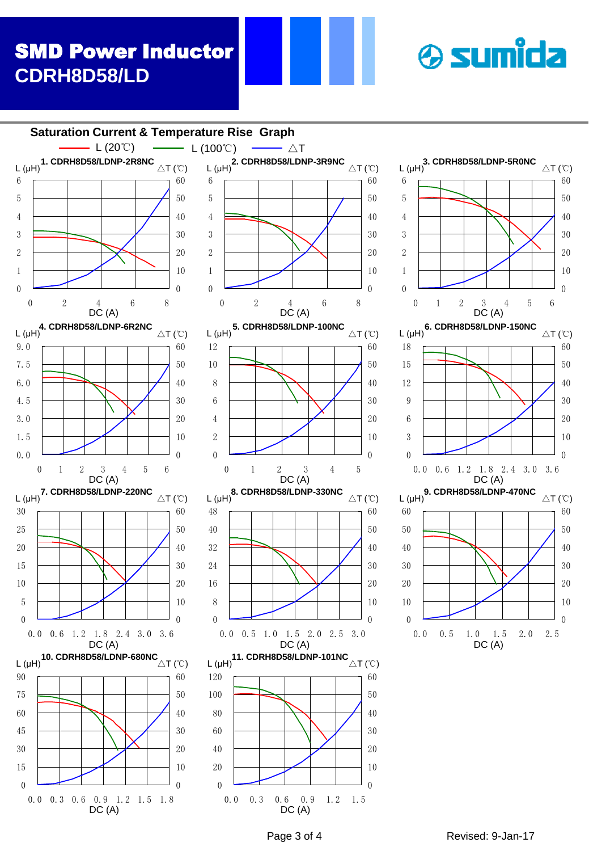# SMD Power Inductor **CDRH8D58/LD**



**& sumida**